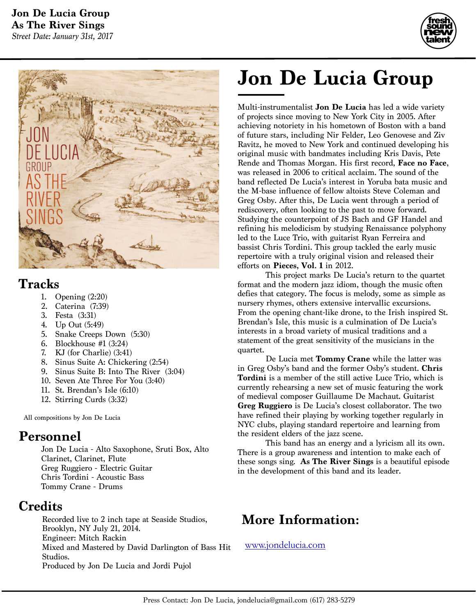



### **Tracks**

- 1. Opening (2:20)
- 2. Caterina (7:39)
- 3. Festa (3:31)
- 4. Up Out (5:49)
- 5. Snake Creeps Down (5:30)
- 6. Blockhouse #1 (3:24)
- 7. KJ (for Charlie) (3:41)
- 8. Sinus Suite A: Chickering (2:54)
- 9. Sinus Suite B: Into The River (3:04)
- 10. Seven Ate Three For You (3:40)
- 11. St. Brendan's Isle (6:10)
- 12. Stirring Curds (3:32)

All compositions by Jon De Lucia

## **Personnel**

Jon De Lucia - Alto Saxophone, Sruti Box, Alto Clarinet, Clarinet, Flute Greg Ruggiero - Electric Guitar Chris Tordini - Acoustic Bass Tommy Crane - Drums

## **Credits**

Recorded live to 2 inch tape at Seaside Studios, Brooklyn, NY July 21, 2014. Engineer: Mitch Rackin Mixed and Mastered by David Darlington of Bass Hit Studios. Produced by Jon De Lucia and Jordi Pujol

# **Jon De Lucia Group**

Multi-instrumentalist **Jon De Lucia** has led a wide variety of projects since moving to New York City in 2005. After achieving notoriety in his hometown of Boston with a band of future stars, including Nir Felder, Leo Genovese and Ziv Ravitz, he moved to New York and continued developing his original music with bandmates including Kris Davis, Pete Rende and Thomas Morgan. His first record, **Face no Face**, was released in 2006 to critical acclaim. The sound of the band reflected De Lucia's interest in Yoruba bata music and the M-base influence of fellow altoists Steve Coleman and Greg Osby. After this, De Lucia went through a period of rediscovery, often looking to the past to move forward. Studying the counterpoint of JS Bach and GF Handel and refining his melodicism by studying Renaissance polyphony led to the Luce Trio, with guitarist Ryan Ferreira and bassist Chris Tordini. This group tackled the early music repertoire with a truly original vision and released their efforts on **Pieces, Vol. 1** in 2012.

 This project marks De Lucia's return to the quartet format and the modern jazz idiom, though the music often defies that category. The focus is melody, some as simple as nursery rhymes, others extensive intervallic excursions. From the opening chant-like drone, to the Irish inspired St. Brendan's Isle, this music is a culmination of De Lucia's interests in a broad variety of musical traditions and a statement of the great sensitivity of the musicians in the quartet.

 De Lucia met **Tommy Crane** while the latter was in Greg Osby's band and the former Osby's student. **Chris Tordini** is a member of the still active Luce Trio, which is currently rehearsing a new set of music featuring the work of medieval composer Guillaume De Machaut. Guitarist **Greg Ruggiero** is De Lucia's closest collaborator. The two have refined their playing by working together regularly in NYC clubs, playing standard repertoire and learning from the resident elders of the jazz scene.

 This band has an energy and a lyricism all its own. There is a group awareness and intention to make each of these songs sing. **As The River Sings** is a beautiful episode in the development of this band and its leader.

# **More Information:**

#### [www.jondelucia.com](http://www.jondelucia.com)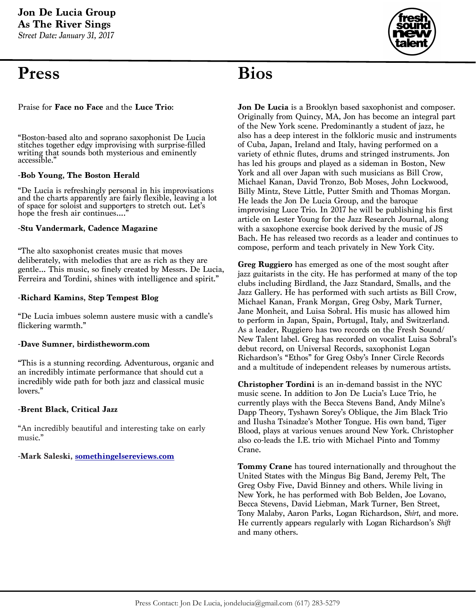# **Press**

**Bios**

Praise for **Face no Face** and the **Luce Trio**:

"Boston-based alto and soprano saxophonist De Lucia stitches together edgy improvising with surprise-filled writing that sounds both mysterious and eminently accessible."

#### **-Bob Young, The Boston Herald**

"De Lucia is refreshingly personal in his improvisations and the charts apparently are fairly flexible, leaving a lot of space for soloist and supporters to stretch out. Let's hope the fresh air continues....'

#### **-Stu Vandermark, Cadence Magazine**

"The alto saxophonist creates music that moves deliberately, with melodies that are as rich as they are gentle… This music, so finely created by Messrs. De Lucia, Ferreira and Tordini, shines with intelligence and spirit."

#### **-Richard Kamins, Step Tempest Blog**

"De Lucia imbues solemn austere music with a candle's flickering warmth."

#### **-Dave Sumner, birdistheworm.com**

"This is a stunning recording. Adventurous, organic and an incredibly intimate performance that should cut a incredibly wide path for both jazz and classical music lovers."

#### **-Brent Black, Critical Jazz**

"An incredibly beautiful and interesting take on early music."

#### **-Mark Saleski, [somethingelsereviews.com](http://somethingelsereviews.com)**

**Jon De Lucia** is a Brooklyn based saxophonist and composer. Originally from Quincy, MA, Jon has become an integral part of the New York scene. Predominantly a student of jazz, he also has a deep interest in the folkloric music and instruments of Cuba, Japan, Ireland and Italy, having performed on a variety of ethnic flutes, drums and stringed instruments. Jon has led his groups and played as a sideman in Boston, New York and all over Japan with such musicians as Bill Crow, Michael Kanan, David Tronzo, Bob Moses, John Lockwood, Billy Mintz, Steve Little, Putter Smith and Thomas Morgan. He leads the Jon De Lucia Group, and the baroque improvising Luce Trio. In 2017 he will be publishing his first article on Lester Young for the Jazz Research Journal, along with a saxophone exercise book derived by the music of JS Bach. He has released two records as a leader and continues to compose, perform and teach privately in New York City.

**Greg Ruggiero** has emerged as one of the most sought after jazz guitarists in the city. He has performed at many of the top clubs including Birdland, the Jazz Standard, Smalls, and the Jazz Gallery. He has performed with such artists as Bill Crow, Michael Kanan, Frank Morgan, Greg Osby, Mark Turner, Jane Monheit, and Luisa Sobral. His music has allowed him to perform in Japan, Spain, Portugal, Italy, and Switzerland. As a leader, Ruggiero has two records on the Fresh Sound/ New Talent label. Greg has recorded on vocalist Luisa Sobral's debut record, on Universal Records, saxophonist Logan Richardson's "Ethos" for Greg Osby's Inner Circle Records and a multitude of independent releases by numerous artists.

**Christopher Tordini** is an in-demand bassist in the NYC music scene. In addition to Jon De Lucia's Luce Trio, he currently plays with the Becca Stevens Band, Andy Milne's Dapp Theory, Tyshawn Sorey's Oblique, the Jim Black Trio and Ilusha Tsinadze's Mother Tongue. His own band, Tiger Blood, plays at various venues around New York. Christopher also co-leads the I.E. trio with Michael Pinto and Tommy Crane.

**Tommy Crane** has toured internationally and throughout the United States with the Mingus Big Band, Jeremy Pelt, The Greg Osby Five, David Binney and others. While living in New York, he has performed with Bob Belden, Joe Lovano, Becca Stevens, David Liebman, Mark Turner, Ben Street, Tony Malaby, Aaron Parks, Logan Richardson, *Shirt*, and more. He currently appears regularly with Logan Richardson's *Shift*  and many others.